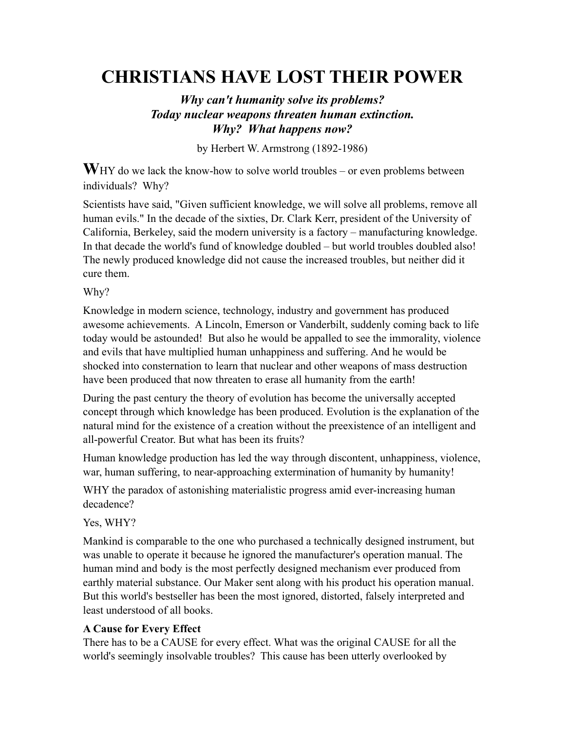# **CHRISTIANS HAVE LOST THEIR POWER**

# *Why can't humanity solve its problems? Today nuclear weapons threaten human extinction. Why? What happens now?*

by Herbert W. Armstrong (1892-1986)

**W**HY do we lack the know-how to solve world troubles – or even problems between individuals? Why?

Scientists have said, "Given sufficient knowledge, we will solve all problems, remove all human evils." In the decade of the sixties, Dr. Clark Kerr, president of the University of California, Berkeley, said the modern university is a factory – manufacturing knowledge. In that decade the world's fund of knowledge doubled – but world troubles doubled also! The newly produced knowledge did not cause the increased troubles, but neither did it cure them.

# Why?

Knowledge in modern science, technology, industry and government has produced awesome achievements. A Lincoln, Emerson or Vanderbilt, suddenly coming back to life today would be astounded! But also he would be appalled to see the immorality, violence and evils that have multiplied human unhappiness and suffering. And he would be shocked into consternation to learn that nuclear and other weapons of mass destruction have been produced that now threaten to erase all humanity from the earth!

During the past century the theory of evolution has become the universally accepted concept through which knowledge has been produced. Evolution is the explanation of the natural mind for the existence of a creation without the preexistence of an intelligent and all-powerful Creator. But what has been its fruits?

Human knowledge production has led the way through discontent, unhappiness, violence, war, human suffering, to near-approaching extermination of humanity by humanity!

WHY the paradox of astonishing materialistic progress amid ever-increasing human decadence?

Yes, WHY?

Mankind is comparable to the one who purchased a technically designed instrument, but was unable to operate it because he ignored the manufacturer's operation manual. The human mind and body is the most perfectly designed mechanism ever produced from earthly material substance. Our Maker sent along with his product his operation manual. But this world's bestseller has been the most ignored, distorted, falsely interpreted and least understood of all books.

# **A Cause for Every Effect**

There has to be a CAUSE for every effect. What was the original CAUSE for all the world's seemingly insolvable troubles? This cause has been utterly overlooked by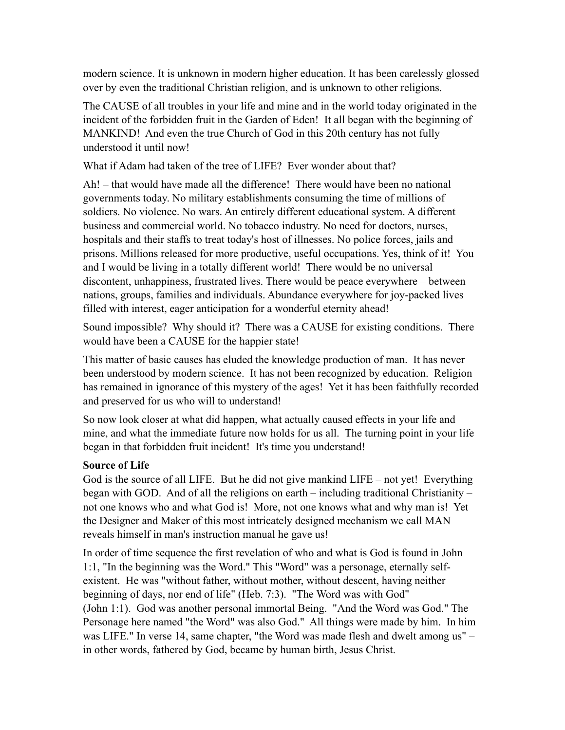modern science. It is unknown in modern higher education. It has been carelessly glossed over by even the traditional Christian religion, and is unknown to other religions.

The CAUSE of all troubles in your life and mine and in the world today originated in the incident of the forbidden fruit in the Garden of Eden! It all began with the beginning of MANKIND! And even the true Church of God in this 20th century has not fully understood it until now!

What if Adam had taken of the tree of LIFE? Ever wonder about that?

Ah! – that would have made all the difference! There would have been no national governments today. No military establishments consuming the time of millions of soldiers. No violence. No wars. An entirely different educational system. A different business and commercial world. No tobacco industry. No need for doctors, nurses, hospitals and their staffs to treat today's host of illnesses. No police forces, jails and prisons. Millions released for more productive, useful occupations. Yes, think of it! You and I would be living in a totally different world! There would be no universal discontent, unhappiness, frustrated lives. There would be peace everywhere – between nations, groups, families and individuals. Abundance everywhere for joy-packed lives filled with interest, eager anticipation for a wonderful eternity ahead!

Sound impossible? Why should it? There was a CAUSE for existing conditions. There would have been a CAUSE for the happier state!

This matter of basic causes has eluded the knowledge production of man. It has never been understood by modern science. It has not been recognized by education. Religion has remained in ignorance of this mystery of the ages! Yet it has been faithfully recorded and preserved for us who will to understand!

So now look closer at what did happen, what actually caused effects in your life and mine, and what the immediate future now holds for us all. The turning point in your life began in that forbidden fruit incident! It's time you understand!

# **Source of Life**

God is the source of all LIFE. But he did not give mankind LIFE – not yet! Everything began with GOD. And of all the religions on earth – including traditional Christianity – not one knows who and what God is! More, not one knows what and why man is! Yet the Designer and Maker of this most intricately designed mechanism we call MAN reveals himself in man's instruction manual he gave us!

In order of time sequence the first revelation of who and what is God is found in John 1:1, "In the beginning was the Word." This "Word" was a personage, eternally selfexistent. He was "without father, without mother, without descent, having neither beginning of days, nor end of life" (Heb. 7:3). "The Word was with God" (John 1:1). God was another personal immortal Being. "And the Word was God." The Personage here named "the Word" was also God." All things were made by him. In him was LIFE." In verse 14, same chapter, "the Word was made flesh and dwelt among us" – in other words, fathered by God, became by human birth, Jesus Christ.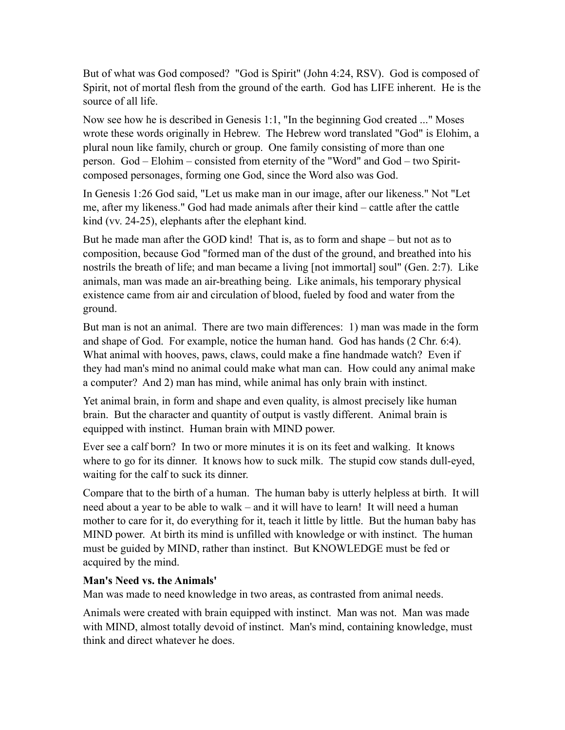But of what was God composed? "God is Spirit" (John 4:24, RSV). God is composed of Spirit, not of mortal flesh from the ground of the earth. God has LIFE inherent. He is the source of all life.

Now see how he is described in Genesis 1:1, "In the beginning God created ..." Moses wrote these words originally in Hebrew. The Hebrew word translated "God" is Elohim, a plural noun like family, church or group. One family consisting of more than one person. God – Elohim – consisted from eternity of the "Word" and God – two Spiritcomposed personages, forming one God, since the Word also was God.

In Genesis 1:26 God said, "Let us make man in our image, after our likeness." Not "Let me, after my likeness." God had made animals after their kind – cattle after the cattle kind (vv. 24-25), elephants after the elephant kind.

But he made man after the GOD kind! That is, as to form and shape – but not as to composition, because God "formed man of the dust of the ground, and breathed into his nostrils the breath of life; and man became a living [not immortal] soul" (Gen. 2:7). Like animals, man was made an air-breathing being. Like animals, his temporary physical existence came from air and circulation of blood, fueled by food and water from the ground.

But man is not an animal. There are two main differences: 1) man was made in the form and shape of God. For example, notice the human hand. God has hands (2 Chr. 6:4). What animal with hooves, paws, claws, could make a fine handmade watch? Even if they had man's mind no animal could make what man can. How could any animal make a computer? And 2) man has mind, while animal has only brain with instinct.

Yet animal brain, in form and shape and even quality, is almost precisely like human brain. But the character and quantity of output is vastly different. Animal brain is equipped with instinct. Human brain with MIND power.

Ever see a calf born? In two or more minutes it is on its feet and walking. It knows where to go for its dinner. It knows how to suck milk. The stupid cow stands dull-eyed, waiting for the calf to suck its dinner.

Compare that to the birth of a human. The human baby is utterly helpless at birth. It will need about a year to be able to walk – and it will have to learn! It will need a human mother to care for it, do everything for it, teach it little by little. But the human baby has MIND power. At birth its mind is unfilled with knowledge or with instinct. The human must be guided by MIND, rather than instinct. But KNOWLEDGE must be fed or acquired by the mind.

## **Man's Need vs. the Animals'**

Man was made to need knowledge in two areas, as contrasted from animal needs.

Animals were created with brain equipped with instinct. Man was not. Man was made with MIND, almost totally devoid of instinct. Man's mind, containing knowledge, must think and direct whatever he does.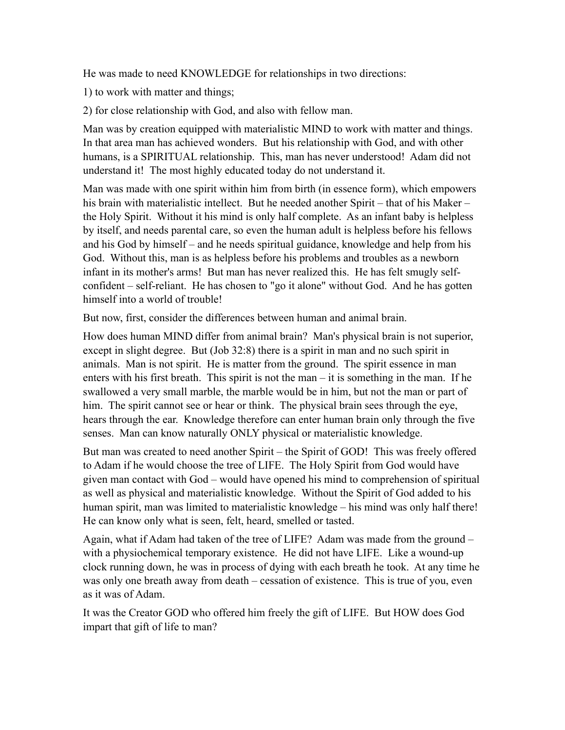He was made to need KNOWLEDGE for relationships in two directions:

1) to work with matter and things;

2) for close relationship with God, and also with fellow man.

Man was by creation equipped with materialistic MIND to work with matter and things. In that area man has achieved wonders. But his relationship with God, and with other humans, is a SPIRITUAL relationship. This, man has never understood! Adam did not understand it! The most highly educated today do not understand it.

Man was made with one spirit within him from birth (in essence form), which empowers his brain with materialistic intellect. But he needed another Spirit – that of his Maker – the Holy Spirit. Without it his mind is only half complete. As an infant baby is helpless by itself, and needs parental care, so even the human adult is helpless before his fellows and his God by himself – and he needs spiritual guidance, knowledge and help from his God. Without this, man is as helpless before his problems and troubles as a newborn infant in its mother's arms! But man has never realized this. He has felt smugly selfconfident – self-reliant. He has chosen to "go it alone" without God. And he has gotten himself into a world of trouble!

But now, first, consider the differences between human and animal brain.

How does human MIND differ from animal brain? Man's physical brain is not superior, except in slight degree. But (Job 32:8) there is a spirit in man and no such spirit in animals. Man is not spirit. He is matter from the ground. The spirit essence in man enters with his first breath. This spirit is not the man  $-$  it is something in the man. If he swallowed a very small marble, the marble would be in him, but not the man or part of him. The spirit cannot see or hear or think. The physical brain sees through the eye, hears through the ear. Knowledge therefore can enter human brain only through the five senses. Man can know naturally ONLY physical or materialistic knowledge.

But man was created to need another Spirit – the Spirit of GOD! This was freely offered to Adam if he would choose the tree of LIFE. The Holy Spirit from God would have given man contact with God – would have opened his mind to comprehension of spiritual as well as physical and materialistic knowledge. Without the Spirit of God added to his human spirit, man was limited to materialistic knowledge – his mind was only half there! He can know only what is seen, felt, heard, smelled or tasted.

Again, what if Adam had taken of the tree of LIFE? Adam was made from the ground – with a physiochemical temporary existence. He did not have LIFE. Like a wound-up clock running down, he was in process of dying with each breath he took. At any time he was only one breath away from death – cessation of existence. This is true of you, even as it was of Adam.

It was the Creator GOD who offered him freely the gift of LIFE. But HOW does God impart that gift of life to man?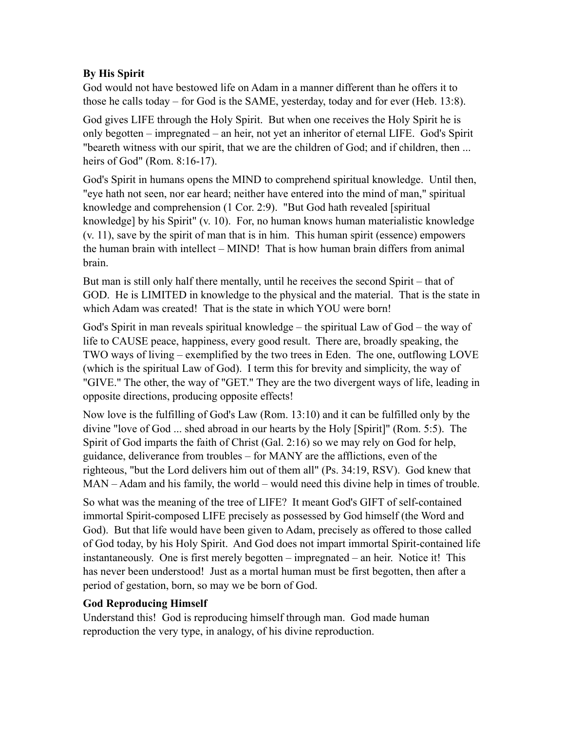# **By His Spirit**

God would not have bestowed life on Adam in a manner different than he offers it to those he calls today – for God is the SAME, yesterday, today and for ever (Heb. 13:8).

God gives LIFE through the Holy Spirit. But when one receives the Holy Spirit he is only begotten – impregnated – an heir, not yet an inheritor of eternal LIFE. God's Spirit "beareth witness with our spirit, that we are the children of God; and if children, then ... heirs of God" (Rom. 8:16-17).

God's Spirit in humans opens the MIND to comprehend spiritual knowledge. Until then, "eye hath not seen, nor ear heard; neither have entered into the mind of man," spiritual knowledge and comprehension (1 Cor. 2:9). "But God hath revealed [spiritual knowledge] by his Spirit" (v. 10). For, no human knows human materialistic knowledge (v. 11), save by the spirit of man that is in him. This human spirit (essence) empowers the human brain with intellect – MIND! That is how human brain differs from animal brain.

But man is still only half there mentally, until he receives the second Spirit – that of GOD. He is LIMITED in knowledge to the physical and the material. That is the state in which Adam was created! That is the state in which YOU were born!

God's Spirit in man reveals spiritual knowledge – the spiritual Law of God – the way of life to CAUSE peace, happiness, every good result. There are, broadly speaking, the TWO ways of living – exemplified by the two trees in Eden. The one, outflowing LOVE (which is the spiritual Law of God). I term this for brevity and simplicity, the way of "GIVE." The other, the way of "GET." They are the two divergent ways of life, leading in opposite directions, producing opposite effects!

Now love is the fulfilling of God's Law (Rom. 13:10) and it can be fulfilled only by the divine "love of God ... shed abroad in our hearts by the Holy [Spirit]" (Rom. 5:5). The Spirit of God imparts the faith of Christ (Gal. 2:16) so we may rely on God for help, guidance, deliverance from troubles – for MANY are the afflictions, even of the righteous, "but the Lord delivers him out of them all" (Ps. 34:19, RSV). God knew that MAN – Adam and his family, the world – would need this divine help in times of trouble.

So what was the meaning of the tree of LIFE? It meant God's GIFT of self-contained immortal Spirit-composed LIFE precisely as possessed by God himself (the Word and God). But that life would have been given to Adam, precisely as offered to those called of God today, by his Holy Spirit. And God does not impart immortal Spirit-contained life instantaneously. One is first merely begotten – impregnated – an heir. Notice it! This has never been understood! Just as a mortal human must be first begotten, then after a period of gestation, born, so may we be born of God.

# **God Reproducing Himself**

Understand this! God is reproducing himself through man. God made human reproduction the very type, in analogy, of his divine reproduction.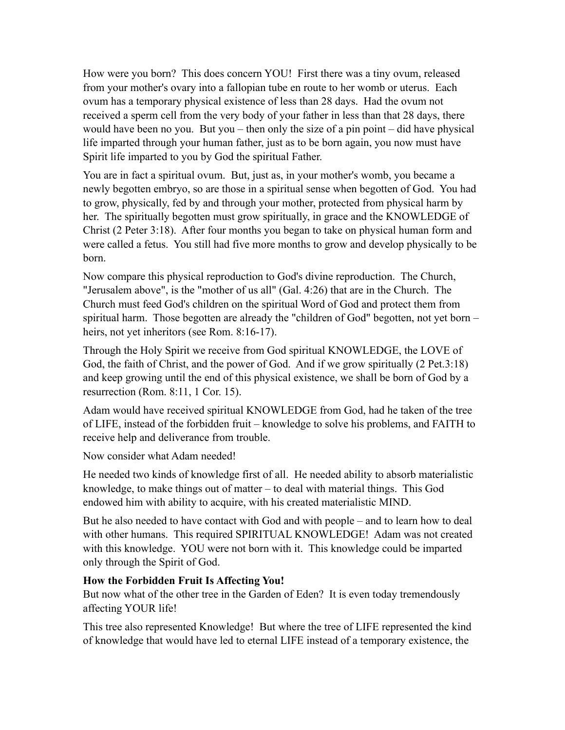How were you born? This does concern YOU! First there was a tiny ovum, released from your mother's ovary into a fallopian tube en route to her womb or uterus. Each ovum has a temporary physical existence of less than 28 days. Had the ovum not received a sperm cell from the very body of your father in less than that 28 days, there would have been no you. But you – then only the size of a pin point – did have physical life imparted through your human father, just as to be born again, you now must have Spirit life imparted to you by God the spiritual Father.

You are in fact a spiritual ovum. But, just as, in your mother's womb, you became a newly begotten embryo, so are those in a spiritual sense when begotten of God. You had to grow, physically, fed by and through your mother, protected from physical harm by her. The spiritually begotten must grow spiritually, in grace and the KNOWLEDGE of Christ (2 Peter 3:18). After four months you began to take on physical human form and were called a fetus. You still had five more months to grow and develop physically to be born.

Now compare this physical reproduction to God's divine reproduction. The Church, "Jerusalem above", is the "mother of us all" (Gal. 4:26) that are in the Church. The Church must feed God's children on the spiritual Word of God and protect them from spiritual harm. Those begotten are already the "children of God" begotten, not yet born – heirs, not yet inheritors (see Rom. 8:16-17).

Through the Holy Spirit we receive from God spiritual KNOWLEDGE, the LOVE of God, the faith of Christ, and the power of God. And if we grow spiritually (2 Pet.3:18) and keep growing until the end of this physical existence, we shall be born of God by a resurrection (Rom. 8:11, 1 Cor. 15).

Adam would have received spiritual KNOWLEDGE from God, had he taken of the tree of LIFE, instead of the forbidden fruit – knowledge to solve his problems, and FAITH to receive help and deliverance from trouble.

Now consider what Adam needed!

He needed two kinds of knowledge first of all. He needed ability to absorb materialistic knowledge, to make things out of matter – to deal with material things. This God endowed him with ability to acquire, with his created materialistic MIND.

But he also needed to have contact with God and with people – and to learn how to deal with other humans. This required SPIRITUAL KNOWLEDGE! Adam was not created with this knowledge. YOU were not born with it. This knowledge could be imparted only through the Spirit of God.

## **How the Forbidden Fruit Is Affecting You!**

But now what of the other tree in the Garden of Eden? It is even today tremendously affecting YOUR life!

This tree also represented Knowledge! But where the tree of LIFE represented the kind of knowledge that would have led to eternal LIFE instead of a temporary existence, the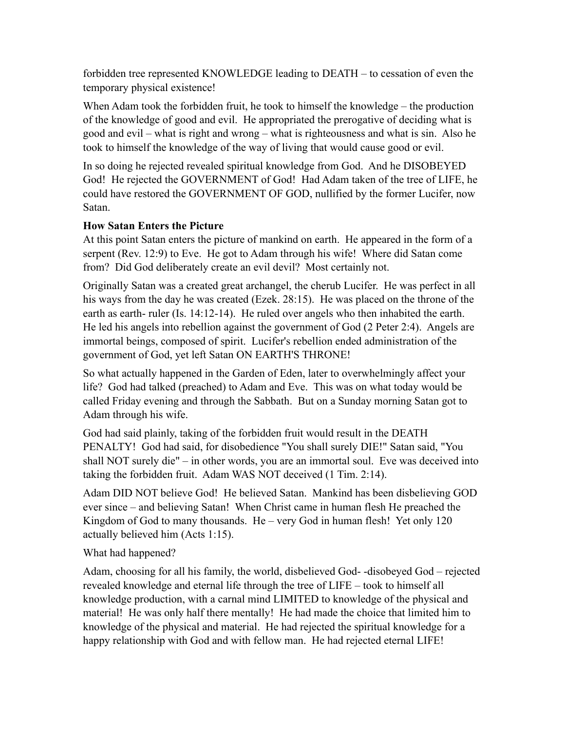forbidden tree represented KNOWLEDGE leading to DEATH – to cessation of even the temporary physical existence!

When Adam took the forbidden fruit, he took to himself the knowledge – the production of the knowledge of good and evil. He appropriated the prerogative of deciding what is good and evil – what is right and wrong – what is righteousness and what is sin. Also he took to himself the knowledge of the way of living that would cause good or evil.

In so doing he rejected revealed spiritual knowledge from God. And he DISOBEYED God! He rejected the GOVERNMENT of God! Had Adam taken of the tree of LIFE, he could have restored the GOVERNMENT OF GOD, nullified by the former Lucifer, now Satan.

# **How Satan Enters the Picture**

At this point Satan enters the picture of mankind on earth. He appeared in the form of a serpent (Rev. 12:9) to Eve. He got to Adam through his wife! Where did Satan come from? Did God deliberately create an evil devil? Most certainly not.

Originally Satan was a created great archangel, the cherub Lucifer. He was perfect in all his ways from the day he was created (Ezek. 28:15). He was placed on the throne of the earth as earth- ruler (Is. 14:12-14). He ruled over angels who then inhabited the earth. He led his angels into rebellion against the government of God (2 Peter 2:4). Angels are immortal beings, composed of spirit. Lucifer's rebellion ended administration of the government of God, yet left Satan ON EARTH'S THRONE!

So what actually happened in the Garden of Eden, later to overwhelmingly affect your life? God had talked (preached) to Adam and Eve. This was on what today would be called Friday evening and through the Sabbath. But on a Sunday morning Satan got to Adam through his wife.

God had said plainly, taking of the forbidden fruit would result in the DEATH PENALTY! God had said, for disobedience "You shall surely DIE!" Satan said, "You shall NOT surely die" – in other words, you are an immortal soul. Eve was deceived into taking the forbidden fruit. Adam WAS NOT deceived (1 Tim. 2:14).

Adam DID NOT believe God! He believed Satan. Mankind has been disbelieving GOD ever since – and believing Satan! When Christ came in human flesh He preached the Kingdom of God to many thousands. He – very God in human flesh! Yet only 120 actually believed him (Acts 1:15).

What had happened?

Adam, choosing for all his family, the world, disbelieved God- -disobeyed God – rejected revealed knowledge and eternal life through the tree of LIFE – took to himself all knowledge production, with a carnal mind LIMITED to knowledge of the physical and material! He was only half there mentally! He had made the choice that limited him to knowledge of the physical and material. He had rejected the spiritual knowledge for a happy relationship with God and with fellow man. He had rejected eternal LIFE!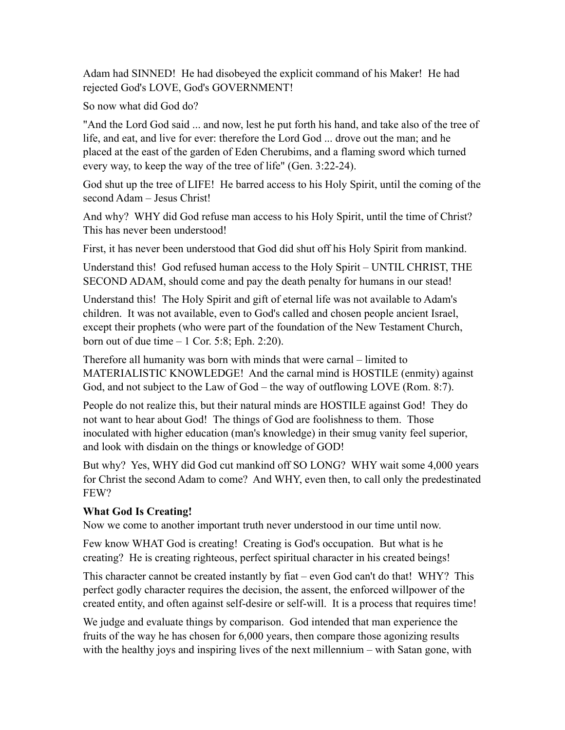Adam had SINNED! He had disobeyed the explicit command of his Maker! He had rejected God's LOVE, God's GOVERNMENT!

So now what did God do?

"And the Lord God said ... and now, lest he put forth his hand, and take also of the tree of life, and eat, and live for ever: therefore the Lord God ... drove out the man; and he placed at the east of the garden of Eden Cherubims, and a flaming sword which turned every way, to keep the way of the tree of life" (Gen. 3:22-24).

God shut up the tree of LIFE! He barred access to his Holy Spirit, until the coming of the second Adam – Jesus Christ!

And why? WHY did God refuse man access to his Holy Spirit, until the time of Christ? This has never been understood!

First, it has never been understood that God did shut off his Holy Spirit from mankind.

Understand this! God refused human access to the Holy Spirit – UNTIL CHRIST, THE SECOND ADAM, should come and pay the death penalty for humans in our stead!

Understand this! The Holy Spirit and gift of eternal life was not available to Adam's children. It was not available, even to God's called and chosen people ancient Israel, except their prophets (who were part of the foundation of the New Testament Church, born out of due time  $-1$  Cor. 5:8; Eph. 2:20).

Therefore all humanity was born with minds that were carnal – limited to MATERIALISTIC KNOWLEDGE! And the carnal mind is HOSTILE (enmity) against God, and not subject to the Law of God – the way of outflowing LOVE (Rom. 8:7).

People do not realize this, but their natural minds are HOSTILE against God! They do not want to hear about God! The things of God are foolishness to them. Those inoculated with higher education (man's knowledge) in their smug vanity feel superior, and look with disdain on the things or knowledge of GOD!

But why? Yes, WHY did God cut mankind off SO LONG? WHY wait some 4,000 years for Christ the second Adam to come? And WHY, even then, to call only the predestinated FEW?

# **What God Is Creating!**

Now we come to another important truth never understood in our time until now.

Few know WHAT God is creating! Creating is God's occupation. But what is he creating? He is creating righteous, perfect spiritual character in his created beings!

This character cannot be created instantly by fiat – even God can't do that! WHY? This perfect godly character requires the decision, the assent, the enforced willpower of the created entity, and often against self-desire or self-will. It is a process that requires time!

We judge and evaluate things by comparison. God intended that man experience the fruits of the way he has chosen for 6,000 years, then compare those agonizing results with the healthy joys and inspiring lives of the next millennium – with Satan gone, with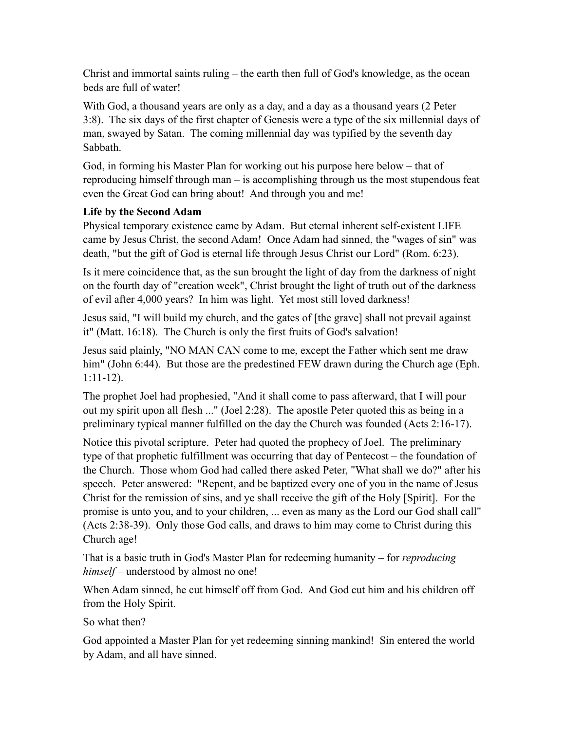Christ and immortal saints ruling – the earth then full of God's knowledge, as the ocean beds are full of water!

With God, a thousand years are only as a day, and a day as a thousand years (2 Peter 3:8). The six days of the first chapter of Genesis were a type of the six millennial days of man, swayed by Satan. The coming millennial day was typified by the seventh day Sabbath.

God, in forming his Master Plan for working out his purpose here below – that of reproducing himself through man – is accomplishing through us the most stupendous feat even the Great God can bring about! And through you and me!

# **Life by the Second Adam**

Physical temporary existence came by Adam. But eternal inherent self-existent LIFE came by Jesus Christ, the second Adam! Once Adam had sinned, the "wages of sin" was death, "but the gift of God is eternal life through Jesus Christ our Lord" (Rom. 6:23).

Is it mere coincidence that, as the sun brought the light of day from the darkness of night on the fourth day of "creation week", Christ brought the light of truth out of the darkness of evil after 4,000 years? In him was light. Yet most still loved darkness!

Jesus said, "I will build my church, and the gates of [the grave] shall not prevail against it" (Matt. 16:18). The Church is only the first fruits of God's salvation!

Jesus said plainly, "NO MAN CAN come to me, except the Father which sent me draw him" (John 6:44). But those are the predestined FEW drawn during the Church age (Eph. 1:11-12).

The prophet Joel had prophesied, "And it shall come to pass afterward, that I will pour out my spirit upon all flesh ..." (Joel 2:28). The apostle Peter quoted this as being in a preliminary typical manner fulfilled on the day the Church was founded (Acts 2:16-17).

Notice this pivotal scripture. Peter had quoted the prophecy of Joel. The preliminary type of that prophetic fulfillment was occurring that day of Pentecost – the foundation of the Church. Those whom God had called there asked Peter, "What shall we do?" after his speech. Peter answered: "Repent, and be baptized every one of you in the name of Jesus Christ for the remission of sins, and ye shall receive the gift of the Holy [Spirit]. For the promise is unto you, and to your children, ... even as many as the Lord our God shall call" (Acts 2:38-39). Only those God calls, and draws to him may come to Christ during this Church age!

That is a basic truth in God's Master Plan for redeeming humanity – for *reproducing himself* – understood by almost no one!

When Adam sinned, he cut himself off from God. And God cut him and his children off from the Holy Spirit.

So what then?

God appointed a Master Plan for yet redeeming sinning mankind! Sin entered the world by Adam, and all have sinned.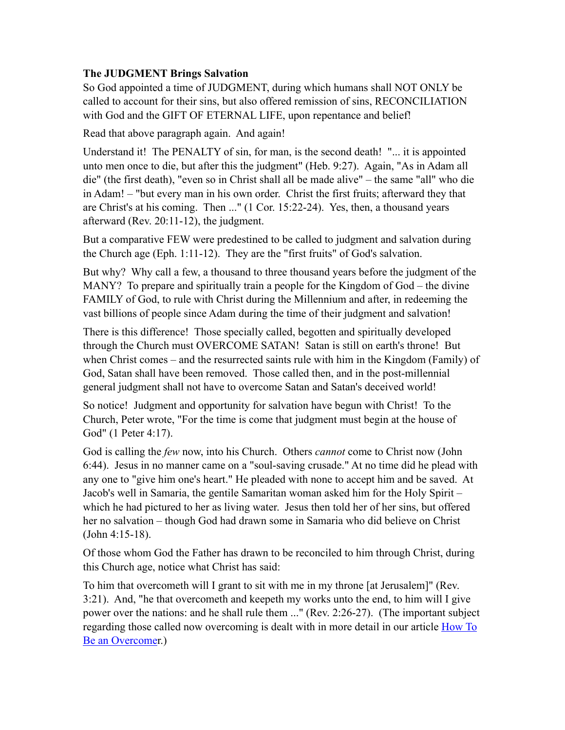# **The JUDGMENT Brings Salvation**

So God appointed a time of JUDGMENT, during which humans shall NOT ONLY be called to account for their sins, but also offered remission of sins, RECONCILIATION with God and the GIFT OF ETERNAL LIFE, upon repentance and belief!

Read that above paragraph again. And again!

Understand it! The PENALTY of sin, for man, is the second death! "... it is appointed unto men once to die, but after this the judgment" (Heb. 9:27). Again, "As in Adam all die" (the first death), "even so in Christ shall all be made alive" – the same "all" who die in Adam! – "but every man in his own order. Christ the first fruits; afterward they that are Christ's at his coming. Then ..." (1 Cor. 15:22-24). Yes, then, a thousand years afterward (Rev. 20:11-12), the judgment.

But a comparative FEW were predestined to be called to judgment and salvation during the Church age (Eph. 1:11-12). They are the "first fruits" of God's salvation.

But why? Why call a few, a thousand to three thousand years before the judgment of the MANY? To prepare and spiritually train a people for the Kingdom of God – the divine FAMILY of God, to rule with Christ during the Millennium and after, in redeeming the vast billions of people since Adam during the time of their judgment and salvation!

There is this difference! Those specially called, begotten and spiritually developed through the Church must OVERCOME SATAN! Satan is still on earth's throne! But when Christ comes – and the resurrected saints rule with him in the Kingdom (Family) of God, Satan shall have been removed. Those called then, and in the post-millennial general judgment shall not have to overcome Satan and Satan's deceived world!

So notice! Judgment and opportunity for salvation have begun with Christ! To the Church, Peter wrote, "For the time is come that judgment must begin at the house of God" (1 Peter 4:17).

God is calling the *few* now, into his Church. Others *cannot* come to Christ now (John 6:44). Jesus in no manner came on a "soul-saving crusade." At no time did he plead with any one to "give him one's heart." He pleaded with none to accept him and be saved. At Jacob's well in Samaria, the gentile Samaritan woman asked him for the Holy Spirit – which he had pictured to her as living water. Jesus then told her of her sins, but offered her no salvation – though God had drawn some in Samaria who did believe on Christ (John 4:15-18).

Of those whom God the Father has drawn to be reconciled to him through Christ, during this Church age, notice what Christ has said:

To him that overcometh will I grant to sit with me in my throne [at Jerusalem]" (Rev. 3:21). And, "he that overcometh and keepeth my works unto the end, to him will I give power over the nations: and he shall rule them ..." (Rev. 2:26-27). (The important subject regarding those called now overcoming is dealt with in more detail in our article **How To** [Be an Overcomer](http://www.thebiblefund.org/%257Ebiblefun/wp-admin/post.php?post=242).)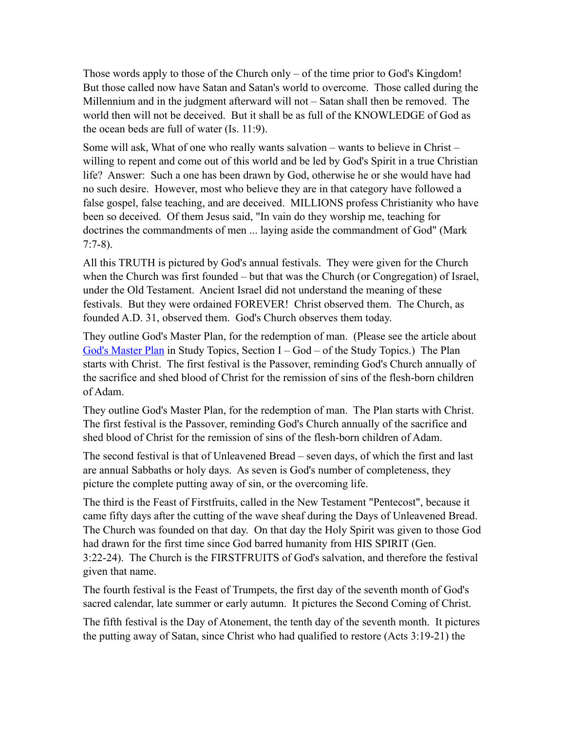Those words apply to those of the Church only – of the time prior to God's Kingdom! But those called now have Satan and Satan's world to overcome. Those called during the Millennium and in the judgment afterward will not – Satan shall then be removed. The world then will not be deceived. But it shall be as full of the KNOWLEDGE of God as the ocean beds are full of water (Is. 11:9).

Some will ask, What of one who really wants salvation – wants to believe in Christ – willing to repent and come out of this world and be led by God's Spirit in a true Christian life? Answer: Such a one has been drawn by God, otherwise he or she would have had no such desire. However, most who believe they are in that category have followed a false gospel, false teaching, and are deceived. MILLIONS profess Christianity who have been so deceived. Of them Jesus said, "In vain do they worship me, teaching for doctrines the commandments of men ... laying aside the commandment of God" (Mark 7:7-8).

All this TRUTH is pictured by God's annual festivals. They were given for the Church when the Church was first founded – but that was the Church (or Congregation) of Israel, under the Old Testament. Ancient Israel did not understand the meaning of these festivals. But they were ordained FOREVER! Christ observed them. The Church, as founded A.D. 31, observed them. God's Church observes them today.

They outline God's Master Plan, for the redemption of man. (Please see the article about [God's Master Plan](http://www.thebiblefund.org/%257Ebiblefun/?page_id=139) in Study Topics, Section I – God – of the Study Topics.) The Plan starts with Christ. The first festival is the Passover, reminding God's Church annually of the sacrifice and shed blood of Christ for the remission of sins of the flesh-born children of Adam.

They outline God's Master Plan, for the redemption of man. The Plan starts with Christ. The first festival is the Passover, reminding God's Church annually of the sacrifice and shed blood of Christ for the remission of sins of the flesh-born children of Adam.

The second festival is that of Unleavened Bread – seven days, of which the first and last are annual Sabbaths or holy days. As seven is God's number of completeness, they picture the complete putting away of sin, or the overcoming life.

The third is the Feast of Firstfruits, called in the New Testament "Pentecost", because it came fifty days after the cutting of the wave sheaf during the Days of Unleavened Bread. The Church was founded on that day. On that day the Holy Spirit was given to those God had drawn for the first time since God barred humanity from HIS SPIRIT (Gen. 3:22-24). The Church is the FIRSTFRUITS of God's salvation, and therefore the festival given that name.

The fourth festival is the Feast of Trumpets, the first day of the seventh month of God's sacred calendar, late summer or early autumn. It pictures the Second Coming of Christ.

The fifth festival is the Day of Atonement, the tenth day of the seventh month. It pictures the putting away of Satan, since Christ who had qualified to restore (Acts 3:19-21) the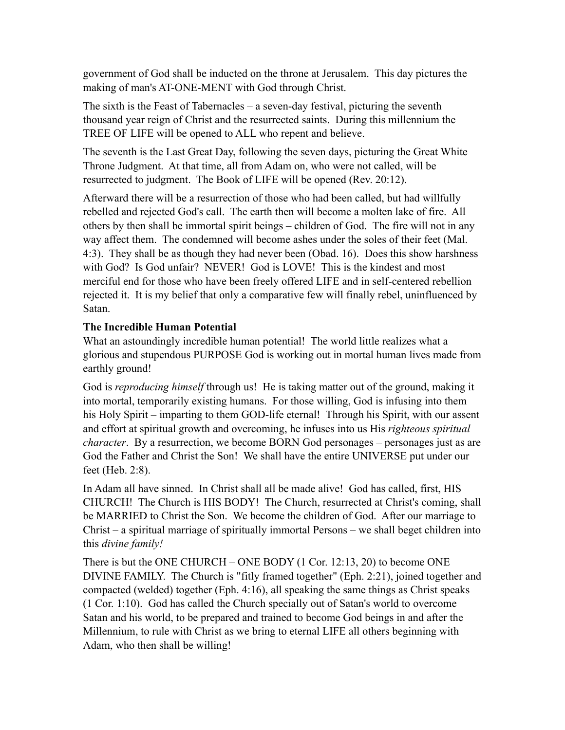government of God shall be inducted on the throne at Jerusalem. This day pictures the making of man's AT-ONE-MENT with God through Christ.

The sixth is the Feast of Tabernacles – a seven-day festival, picturing the seventh thousand year reign of Christ and the resurrected saints. During this millennium the TREE OF LIFE will be opened to ALL who repent and believe.

The seventh is the Last Great Day, following the seven days, picturing the Great White Throne Judgment. At that time, all from Adam on, who were not called, will be resurrected to judgment. The Book of LIFE will be opened (Rev. 20:12).

Afterward there will be a resurrection of those who had been called, but had willfully rebelled and rejected God's call. The earth then will become a molten lake of fire. All others by then shall be immortal spirit beings – children of God. The fire will not in any way affect them. The condemned will become ashes under the soles of their feet (Mal. 4:3). They shall be as though they had never been (Obad. 16). Does this show harshness with God? Is God unfair? NEVER! God is LOVE! This is the kindest and most merciful end for those who have been freely offered LIFE and in self-centered rebellion rejected it. It is my belief that only a comparative few will finally rebel, uninfluenced by Satan.

# **The Incredible Human Potential**

What an astoundingly incredible human potential! The world little realizes what a glorious and stupendous PURPOSE God is working out in mortal human lives made from earthly ground!

God is *reproducing himself* through us! He is taking matter out of the ground, making it into mortal, temporarily existing humans. For those willing, God is infusing into them his Holy Spirit – imparting to them GOD-life eternal! Through his Spirit, with our assent and effort at spiritual growth and overcoming, he infuses into us His *righteous spiritual character*. By a resurrection, we become BORN God personages – personages just as are God the Father and Christ the Son! We shall have the entire UNIVERSE put under our feet (Heb. 2:8).

In Adam all have sinned. In Christ shall all be made alive! God has called, first, HIS CHURCH! The Church is HIS BODY! The Church, resurrected at Christ's coming, shall be MARRIED to Christ the Son. We become the children of God. After our marriage to Christ – a spiritual marriage of spiritually immortal Persons – we shall beget children into this *divine family!*

There is but the ONE CHURCH – ONE BODY (1 Cor. 12:13, 20) to become ONE DIVINE FAMILY. The Church is "fitly framed together" (Eph. 2:21), joined together and compacted (welded) together (Eph. 4:16), all speaking the same things as Christ speaks (1 Cor. 1:10). God has called the Church specially out of Satan's world to overcome Satan and his world, to be prepared and trained to become God beings in and after the Millennium, to rule with Christ as we bring to eternal LIFE all others beginning with Adam, who then shall be willing!